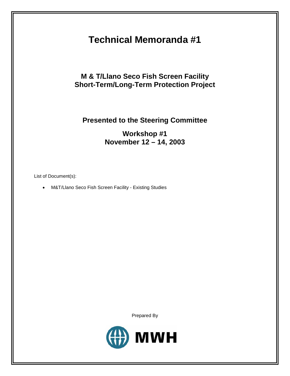# **Technical Memoranda #1**

## **M & T/Llano Seco Fish Screen Facility Short-Term/Long-Term Protection Project**

# **Presented to the Steering Committee**

## **Workshop #1 November 12 – 14, 2003**

List of Document(s):

• M&T/Llano Seco Fish Screen Facility - Existing Studies

Prepared By

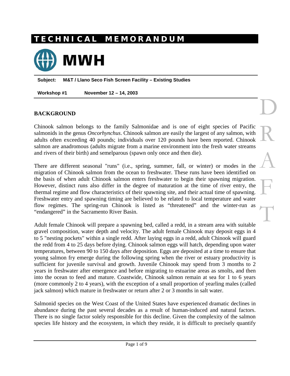# **T E C H N I C A L M E M O R A N D U M**



**Subject: M&T / Llano Seco Fish Screen Facility – Existing Studies** 

**Workshop #1 November 12 – 14, 2003** 

#### **BACKGROUND**

Chinook salmon belongs to the family Salmonidae and is one of eight species of Pacific salmonids in the genus *Oncorhynchus*. Chinook salmon are easily the largest of any salmon, with adults often exceeding 40 pounds; individuals over 120 pounds have been reported. Chinook salmon are anadromous (adults migrate from a marine environment into the fresh water streams and rivers of their birth) and semelparous (spawn only once and then die).

D

R

A

F

T

There are different seasonal "runs" (i.e., spring, summer, fall, or winter) or modes in the migration of Chinook salmon from the ocean to freshwater. These runs have been identified on the basis of when adult Chinook salmon enters freshwater to begin their spawning migration. However, distinct runs also differ in the degree of maturation at the time of river entry, the thermal regime and flow characteristics of their spawning site, and their actual time of spawning. Freshwater entry and spawning timing are believed to be related to local temperature and water flow regimes. The spring-run Chinook is listed as "threatened" and the winter-run as "endangered" in the Sacramento River Basin.

Adult female Chinook will prepare a spawning bed, called a redd, in a stream area with suitable gravel composition, water depth and velocity. The adult female Chinook may deposit eggs in 4 to 5 "nesting pockets" within a single redd. After laying eggs in a redd, adult Chinook will guard the redd from 4 to 25 days before dying. Chinook salmon eggs will hatch, depending upon water temperatures, between 90 to 150 days after deposition. Eggs are deposited at a time to ensure that young salmon fry emerge during the following spring when the river or estuary productivity is sufficient for juvenile survival and growth. Juvenile Chinook may spend from 3 months to 2 years in freshwater after emergence and before migrating to estuarine areas as smolts, and then into the ocean to feed and mature. Coastwide, Chinook salmon remain at sea for 1 to 6 years (more commonly 2 to 4 years), with the exception of a small proportion of yearling males (called jack salmon) which mature in freshwater or return after 2 or 3 months in salt water.

Salmonid species on the West Coast of the United States have experienced dramatic declines in abundance during the past several decades as a result of human-induced and natural factors. There is no single factor solely responsible for this decline. Given the complexity of the salmon species life history and the ecosystem, in which they reside, it is difficult to precisely quantify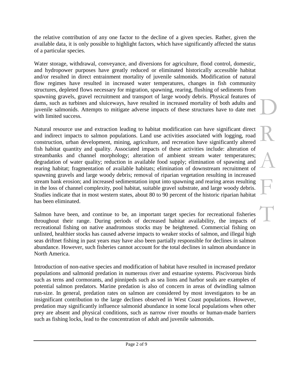the relative contribution of any one factor to the decline of a given species. Rather, given the available data, it is only possible to highlight factors, which have significantly affected the status of a particular species.

Water storage, withdrawal, conveyance, and diversions for agriculture, flood control, domestic, and hydropower purposes have greatly reduced or eliminated historically accessible habitat and/or resulted in direct entrainment mortality of juvenile salmonids. Modification of natural flow regimes have resulted in increased water temperatures, changes in fish community structures, depleted flows necessary for migration, spawning, rearing, flushing of sediments from spawning gravels, gravel recruitment and transport of large woody debris. Physical features of dams, such as turbines and sluiceways, have resulted in increased mortality of both adults and juvenile salmonids. Attempts to mitigate adverse impacts of these structures have to date met with limited success.

Natural resource use and extraction leading to habitat modification can have significant direct and indirect impacts to salmon populations. Land use activities associated with logging, road construction, urban development, mining, agriculture, and recreation have significantly altered fish habitat quantity and quality. Associated impacts of these activities include: alteration of streambanks and channel morphology; alteration of ambient stream water temperatures; degradation of water quality; reduction in available food supply; elimination of spawning and rearing habitat; fragmentation of available habitats; elimination of downstream recruitment of spawning gravels and large woody debris; removal of riparian vegetation resulting in increased stream bank erosion; and increased sedimentation input into spawning and rearing areas resulting in the loss of channel complexity, pool habitat, suitable gravel substrate, and large woody debris. Studies indicate that in most western states, about 80 to 90 percent of the historic riparian habitat has been eliminated.

Salmon have been, and continue to be, an important target species for recreational fisheries throughout their range. During periods of decreased habitat availability, the impacts of recreational fishing on native anadromous stocks may be heightened. Commercial fishing on unlisted, healthier stocks has caused adverse impacts to weaker stocks of salmon, and illegal high seas driftnet fishing in past years may have also been partially responsible for declines in salmon abundance. However, such fisheries cannot account for the total declines in salmon abundance in North America.

Introduction of non-native species and modification of habitat have resulted in increased predator populations and salmonid predation in numerous river and estuarine systems. Piscivorous birds such as terns and cormorants, and pinnipeds such as sea lions and harbor seals are examples of potential salmon predators. Marine predation is also of concern in areas of dwindling salmon run-size. In general, predation rates on salmon are considered by most investigators to be an insignificant contribution to the large declines observed in West Coast populations. However, predation may significantly influence salmonid abundance in some local populations when other prey are absent and physical conditions, such as narrow river mouths or human-made barriers such as fishing locks, lead to the concentration of adult and juvenile salmonids.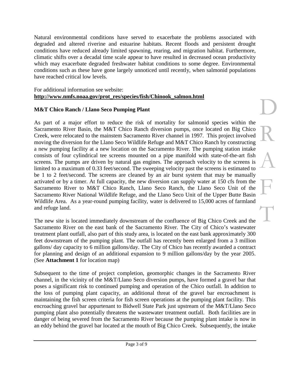Natural environmental conditions have served to exacerbate the problems associated with degraded and altered riverine and estuarine habitats. Recent floods and persistent drought conditions have reduced already limited spawning, rearing, and migration habitat. Furthermore, climatic shifts over a decadal time scale appear to have resulted in decreased ocean productivity which may exacerbate degraded freshwater habitat conditions to some degree. Environmental conditions such as these have gone largely unnoticed until recently, when salmonid populations have reached critical low levels.

#### For additional information see website: **http://www.nmfs.noaa.gov/prot\_res/species/fish/Chinook\_salmon.html**

#### **M&T Chico Ranch / Llano Seco Pumping Plant**

As part of a major effort to reduce the risk of mortality for salmonid species within the Sacramento River Basin, the M&T Chico Ranch diversion pumps, once located on Big Chico Creek, were relocated to the mainstem Sacramento River channel in 1997. This project involved moving the diversion for the Llano Seco Wildlife Refuge and M&T Chico Ranch by constructing a new pumping facility at a new location on the Sacramento River. The pumping station intake consists of four cylindrical tee screens mounted on a pipe manifold with state-of-the-art fish screens. The pumps are driven by natural gas engines. The approach velocity to the screens is limited to a maximum of 0.33 feet/second. The sweeping velocity past the screens is estimated to be 1 to 2 feet/second. The screens are cleaned by an air burst system that may be manually activated or by a timer. At full capacity, the new diversion can supply water at 150 cfs from the Sacramento River to M&T Chico Ranch, Llano Seco Ranch, the Llano Seco Unit of the Sacramento River National Wildlife Refuge, and the Llano Seco Unit of the Upper Butte Basin Wildlife Area. As a year-round pumping facility, water is delivered to 15,000 acres of farmland and refuge land.

The new site is located immediately downstream of the confluence of Big Chico Creek and the Sacramento River on the east bank of the Sacramento River. The City of Chico's wastewater treatment plant outfall, also part of this study area, is located on the east bank approximately 300 feet downstream of the pumping plant. The outfall has recently been enlarged from a 3 million gallons/ day capacity to 6 million gallons/day. The City of Chico has recently awarded a contract for planning and design of an additional expansion to 9 million gallons/day by the year 2005. (See **Attachment 1** for location map)

Subsequent to the time of project completion, geomorphic changes in the Sacramento River channel, in the vicinity of the M&T/Llano Seco diversion pumps, have formed a gravel bar that poses a significant risk to continued pumping and operation of the Chico outfall. In addition to the loss of pumping plant capacity, an additional threat of the gravel bar encroachment is maintaining the fish screen criteria for fish screen operations at the pumping plant facility. This encroaching gravel bar appurtenant to Bidwell State Park just upstream of the M&T/Llano Seco pumping plant also potentially threatens the wastewater treatment outfall. Both facilities are in danger of being severed from the Sacramento River because the pumping plant intake is now in an eddy behind the gravel bar located at the mouth of Big Chico Creek. Subsequently, the intake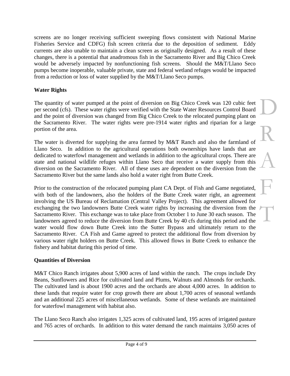screens are no longer receiving sufficient sweeping flows consistent with National Marine Fisheries Service and CDFG) fish screen criteria due to the deposition of sediment. Eddy currents are also unable to maintain a clean screen as originally designed. As a result of these changes, there is a potential that anadromous fish in the Sacramento River and Big Chico Creek would be adversely impacted by nonfunctioning fish screens. Should the M&T/Llano Seco pumps become inoperable, valuable private, state and federal wetland refuges would be impacted from a reduction or loss of water supplied by the M&T/Llano Seco pumps.

## **Water Rights**

The quantity of water pumped at the point of diversion on Big Chico Creek was 120 cubic feet per second (cfs). These water rights were verified with the State Water Resources Control Board and the point of diversion was changed from Big Chico Creek to the relocated pumping plant on the Sacramento River. The water rights were pre-1914 water rights and riparian for a large portion of the area.

The water is diverted for supplying the area farmed by M&T Ranch and also the farmland of Llano Seco. In addition to the agricultural operations both ownerships have lands that are dedicated to waterfowl management and wetlands in addition to the agricultural crops. There are state and national wildlife refuges within Llano Seco that receive a water supply from this diversion on the Sacramento River. All of these uses are dependent on the diversion from the Sacramento River but the same lands also hold a water right from Butte Creek.

Prior to the construction of the relocated pumping plant CA Dept. of Fish and Game negotiated, with both of the landowners, also the holders of the Butte Creek water right, an agreement involving the US Bureau of Reclamation (Central Valley Project). This agreement allowed for exchanging the two landowners Butte Creek water rights by increasing the diversion from the Sacramento River. This exchange was to take place from October 1 to June 30 each season. The landowners agreed to reduce the diversion from Butte Creek by 40 cfs during this period and the water would flow down Butte Creek into the Sutter Bypass and ultimately return to the Sacramento River. CA Fish and Game agreed to protect the additional flow from diversion by various water right holders on Butte Creek. This allowed flows in Butte Creek to enhance the fishery and habitat during this period of time.

### **Quantities of Diversion**

M&T Chico Ranch irrigates about 5,900 acres of land within the ranch. The crops include Dry Beans, Sunflowers and Rice for cultivated land and Plums, Walnuts and Almonds for orchards. The cultivated land is about 1900 acres and the orchards are about 4,000 acres. In addition to these lands that require water for crop growth there are about 1,700 acres of seasonal wetlands and an additional 225 acres of miscellaneous wetlands. Some of these wetlands are maintained for waterfowl management with habitat also.

The Llano Seco Ranch also irrigates 1,325 acres of cultivated land, 195 acres of irrigated pasture and 765 acres of orchards. In addition to this water demand the ranch maintains 3,050 acres of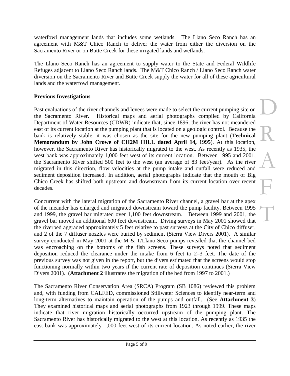waterfowl management lands that includes some wetlands. The Llano Seco Ranch has an agreement with M&T Chico Ranch to deliver the water from either the diversion on the Sacramento River or on Butte Creek for these irrigated lands and wetlands.

The Llano Seco Ranch has an agreement to supply water to the State and Federal Wildlife Refuges adjacent to Llano Seco Ranch lands. The M&T Chico Ranch / Llano Seco Ranch water diversion on the Sacramento River and Butte Creek supply the water for all of these agricultural lands and the waterfowl management.

### **Previous Investigations**

Past evaluations of the river channels and levees were made to select the current pumping site on the Sacramento River. Historical maps and aerial photographs compiled by California Department of Water Resources (CDWR) indicate that, since 1896, the river has not meandered east of its current location at the pumping plant that is located on a geologic control. Because the bank is relatively stable, it was chosen as the site for the new pumping plant (**Technical Memorandum by John Crowe of CH2M HILL dated April 14, 1995**). At this location, however, the Sacramento River has historically migrated to the west. As recently as 1935, the west bank was approximately 1,000 feet west of its current location. Between 1995 and 2001, the Sacramento River shifted 500 feet to the west (an average of 83 feet/year). As the river migrated in this direction, flow velocities at the pump intake and outfall were reduced and sediment deposition increased. In addition, aerial photographs indicate that the mouth of Big Chico Creek has shifted both upstream and downstream from its current location over recent decades.

Concurrent with the lateral migration of the Sacramento River channel, a gravel bar at the apex of the meander has enlarged and migrated downstream toward the pump facility. Between 1995 and 1999, the gravel bar migrated over 1,100 feet downstream. Between 1999 and 2001, the gravel bar moved an additional 600 feet downstream. Diving surveys in May 2001 showed that the riverbed aggraded approximately 5 feet relative to past surveys at the City of Chico diffuser, and 2 of the 7 diffuser nozzles were buried by sediment (Sierra View Divers 2001). A similar survey conducted in May 2001 at the M & T/Llano Seco pumps revealed that the channel bed was encroaching on the bottoms of the fish screens. These surveys noted that sediment deposition reduced the clearance under the intake from 6 feet to 2–3 feet. The date of the previous survey was not given in the report, but the divers estimated that the screens would stop functioning normally within two years if the current rate of deposition continues (Sierra View Divers 2001). (**Attachment 2** illustrates the migration of the bed from 1997 to 2001.)

The Sacramento River Conservation Area (SRCA) Program (SB 1086) reviewed this problem and, with funding from CALFED, commissioned Stillwater Sciences to identify near-term and long-term alternatives to maintain operation of the pumps and outfall. (See **Attachment 3**) They examined historical maps and aerial photographs from 1923 through 1999. These maps indicate that river migration historically occurred upstream of the pumping plant. The Sacramento River has historically migrated to the west at this location. As recently as 1935 the east bank was approximately 1,000 feet west of its current location. As noted earlier, the river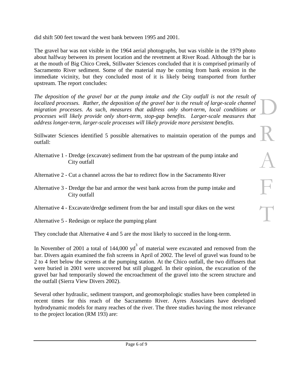did shift 500 feet toward the west bank between 1995 and 2001.

The gravel bar was not visible in the 1964 aerial photographs, but was visible in the 1979 photo about halfway between its present location and the revetment at River Road. Although the bar is at the mouth of Big Chico Creek, Stillwater Sciences concluded that it is comprised primarily of Sacramento River sediment. Some of the material may be coming from bank erosion in the immediate vicinity, but they concluded most of it is likely being transported from further upstream. The report concludes:

*The deposition of the gravel bar at the pump intake and the City outfall is not the result of localized processes. Rather, the deposition of the gravel bar is the result of large-scale channel migration processes. As such, measures that address only short-term, local conditions or processes will likely provide only short-term, stop-gap benefits. Larger-scale measures that address longer-term, larger-scale processes will likely provide more persistent benefits.* 

Stillwater Sciences identified 5 possible alternatives to maintain operation of the pumps and outfall:

- Alternative 1 Dredge (excavate) sediment from the bar upstream of the pump intake and City outfall
- Alternative 2 Cut a channel across the bar to redirect flow in the Sacramento River
- Alternative 3 Dredge the bar and armor the west bank across from the pump intake and City outfall
- Alternative 4 Excavate/dredge sediment from the bar and install spur dikes on the west
- Alternative 5 Redesign or replace the pumping plant

They conclude that Alternative 4 and 5 are the most likely to succeed in the long-term.

In November of 2001 a total of 144,000  $yd^3$  of material were excavated and removed from the bar. Divers again examined the fish screens in April of 2002. The level of gravel was found to be 2 to 4 feet below the screens at the pumping station. At the Chico outfall, the two diffusers that were buried in 2001 were uncovered but still plugged. In their opinion, the excavation of the gravel bar had temporarily slowed the encroachment of the gravel into the screen structure and the outfall (Sierra View Divers 2002).

Several other hydraulic, sediment transport, and geomorphologic studies have been completed in recent times for this reach of the Sacramento River. Ayres Associates have developed hydrodynamic models for many reaches of the river. The three studies having the most relevance to the project location (RM 193) are: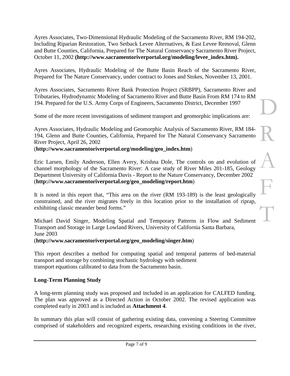Ayres Associates, Two-Dimensional Hydraulic Modeling of the Sacramento River, RM 194-202, Including Riparian Restoration, Two Setback Levee Alternatives, & East Levee Removal, Glenn and Butte Counties, California, Prepared for The Natural Conservancy Sacramento River Project, October 11, 2002 **(http://www.sacramentoriverportal.org/modeling/levee\_index.htm).**

Ayres Associates, Hydraulic Modeling of the Butte Basin Reach of the Sacramento River, Prepared for The Nature Conservancy, under contract to Jones and Stokes, November 13, 2001.

Ayres Associates, Sacramento River Bank Protection Project (SRBPP), Sacramento River and Tributaries, Hydrodynamic Modeling of Sacramento River and Butte Basin From RM 174 to RM 194. Prepared for the U.S. Army Corps of Engineers, Sacramento District, December 1997

D

R

A

F

T

Some of the more recent investigations of sediment transport and geomorphic implications are:

Ayres Associates, Hydraulic Modeling and Geomorphic Analysis of Sacramento River, RM 184- 194, Glenn and Butte Counties, California, Prepared for The Natural Conservancy Sacramento River Project, April 26, 2002

#### (**http://www.sacramentoriverportal.org/modeling/geo\_index.htm**)

Eric Larsen, Emily Anderson, Ellen Avery, Krishna Dole, The controls on and evolution of channel morphology of the Sacramento River: A case study of River Miles 201-185, Geology Department University of California Davis - Report to the Nature Conservancy, December 2002 (**http://www.sacramentoriverportal.org/geo\_modeling/report.htm**)

It is noted in this report that, "This area on the river (RM 193-189) is the least geologically constrained, and the river migrates freely in this location prior to the installation of riprap, exhibiting classic meander bend forms."

Michael David Singer, Modeling Spatial and Temporary Patterns in Flow and Sediment Transport and Storage in Large Lowland Rivers, University of California Santa Barbara, June 2003

#### (**http://www.sacramentoriverportal.org/geo\_modeling/singer.htm**)

This report describes a method for computing spatial and temporal patterns of bed-material transport and storage by combining stochastic hydrology with sediment transport equations calibrated to data from the Sacramento basin.

### **Long-Term Planning Study**

A long-term planning study was proposed and included in an application for CALFED funding. The plan was approved as a Directed Action in October 2002. The revised application was completed early in 2003 and is included as **Attachment 4**.

In summary this plan will consist of gathering existing data, convening a Steering Committee comprised of stakeholders and recognized experts, researching existing conditions in the river,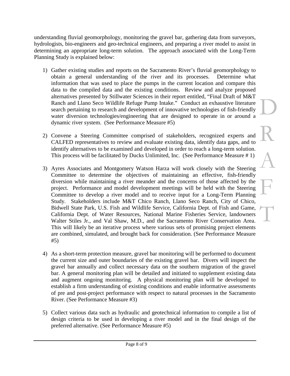understanding fluvial geomorphology, monitoring the gravel bar, gathering data from surveyors, hydrologists, bio-engineers and geo-technical engineers, and preparing a river model to assist in determining an appropriate long-term solution. The approach associated with the Long-Term Planning Study is explained below:

- 1) Gather existing studies and reports on the Sacramento River's fluvial geomorphology to obtain a general understanding of the river and its processes. Determine what information that was used to place the pumps in the current location and compare this data to the compiled data and the existing conditions. Review and analyze proposed alternatives presented by Stillwater Sciences in their report entitled, "Final Draft of M&T Ranch and Llano Seco Wildlife Refuge Pump Intake." Conduct an exhaustive literature search pertaining to research and development of innovative technologies of fish-friendly water diversion technologies/engineering that are designed to operate in or around a dynamic river system. (See Performance Measure #5)
- 2) Convene a Steering Committee comprised of stakeholders, recognized experts and CALFED representatives to review and evaluate existing data, identify data gaps, and to identify alternatives to be examined and developed in order to reach a long-term solution. This process will be facilitated by Ducks Unlimited, Inc. (See Performance Measure # 1)
- 3) Ayres Associates and Montgomery Watson Harza will work closely with the Steering Committee to determine the objectives of maintaining an effective, fish-friendly diversion while maintaining a river meander and the concerns of those affected by the project. Performance and model development meetings will be held with the Steering Committee to develop a river model and to receive input for a Long-Term Planning Study. Stakeholders include M&T Chico Ranch, Llano Seco Ranch, City of Chico, Bidwell State Park, U.S. Fish and Wildlife Service, California Dept. of Fish and Game, California Dept. of Water Resources, National Marine Fisheries Service, landowners Walter Stiles Jr., and Val Shaw, M.D., and the Sacramento River Conservation Area. This will likely be an iterative process where various sets of promising project elements are combined, simulated, and brought back for consideration. (See Performance Measure #5)
- 4) As a short-term protection measure, gravel bar monitoring will be performed to document the current size and outer boundaries of the existing gravel bar. Divers will inspect the gravel bar annually and collect necessary data on the southern migration of the gravel bar. A general monitoring plan will be detailed and initiated to supplement existing data and augment ongoing monitoring. A physical monitoring plan will be developed to establish a firm understanding of existing conditions and enable informative assessments of pre and post-project performance with respect to natural processes in the Sacramento River. (See Performance Measure #3)
- 5) Collect various data such as hydraulic and geotechnical information to compile a list of design criteria to be used in developing a river model and in the final design of the preferred alternative. (See Performance Measure #5)